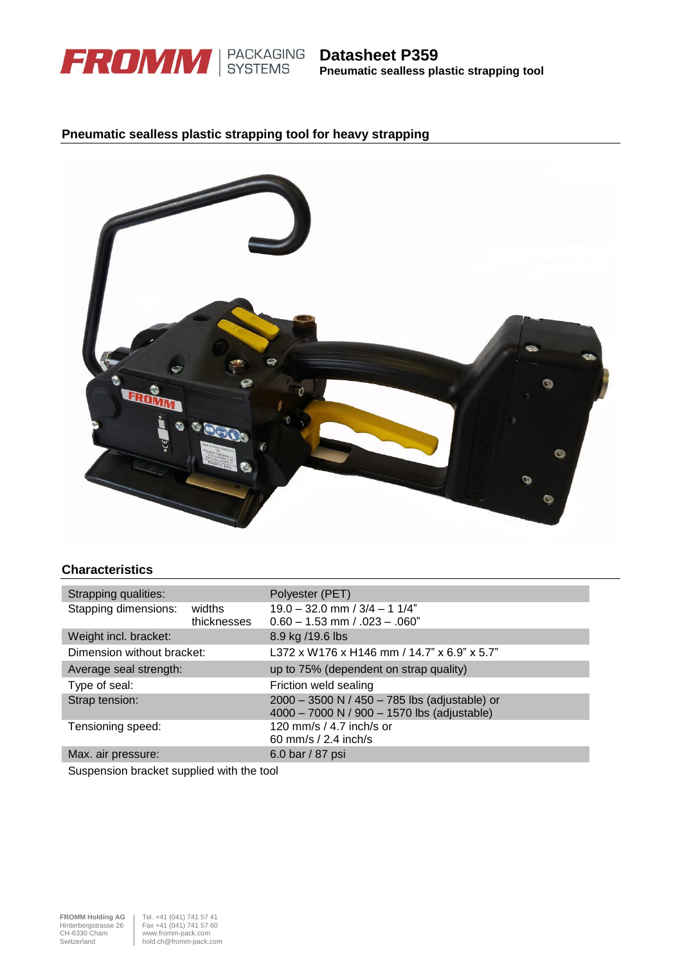

## **Pneumatic sealless plastic strapping tool for heavy strapping**



## **Characteristics**

| Strapping qualities:       |                       | Polyester (PET)                                                                              |  |  |  |  |
|----------------------------|-----------------------|----------------------------------------------------------------------------------------------|--|--|--|--|
| Stapping dimensions:       | widths<br>thicknesses | $19.0 - 32.0$ mm $/ 3/4 - 11/4$ "<br>$0.60 - 1.53$ mm $/ .023 - .060$ "                      |  |  |  |  |
| Weight incl. bracket:      |                       | 8.9 kg /19.6 lbs                                                                             |  |  |  |  |
| Dimension without bracket: |                       | L372 x W176 x H146 mm / 14.7" x 6.9" x 5.7"                                                  |  |  |  |  |
| Average seal strength:     |                       | up to 75% (dependent on strap quality)                                                       |  |  |  |  |
| Type of seal:              |                       | Friction weld sealing                                                                        |  |  |  |  |
| Strap tension:             |                       | 2000 - 3500 N / 450 - 785 lbs (adjustable) or<br>4000 - 7000 N / 900 - 1570 lbs (adjustable) |  |  |  |  |
| Tensioning speed:          |                       | 120 mm/s / 4.7 inch/s or<br>60 mm/s / 2.4 inch/s                                             |  |  |  |  |
| Max. air pressure:         |                       | 6.0 bar / 87 psi                                                                             |  |  |  |  |

Suspension bracket supplied with the tool